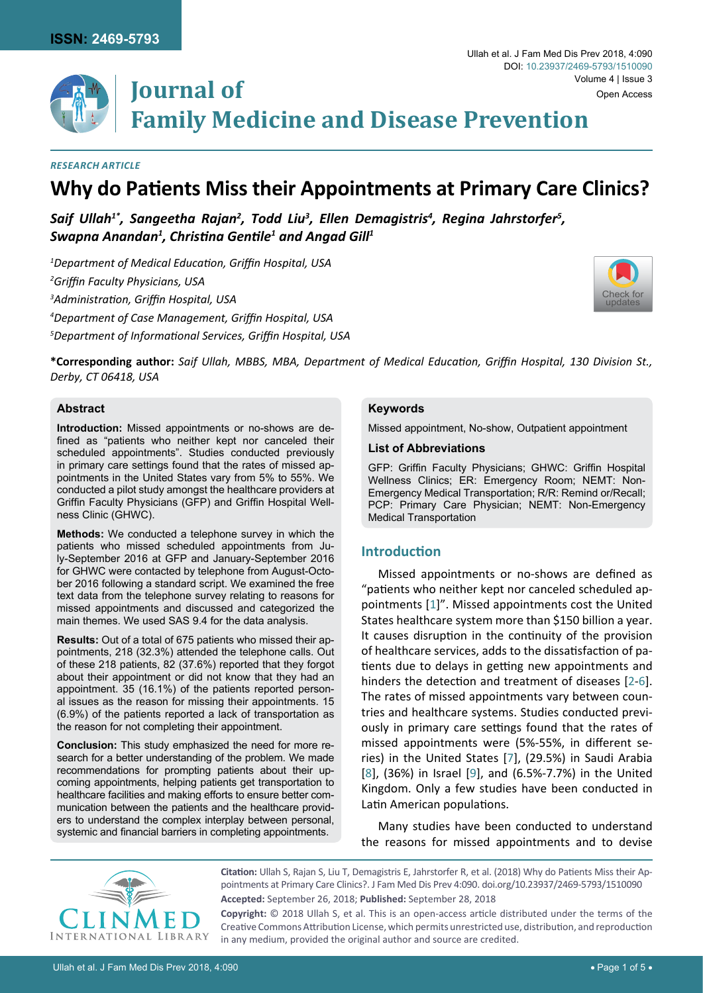

**Journal of Family Medicine and Disease Prevention**

#### *Research Article*

# **Why do Patients Miss their Appointments at Primary Care Clinics?**

Saif Ullah $^{\imath *}$ , Sangeetha Rajan $^{\imath}$ , Todd Liu $^{\imath}$ , Ellen Demagistris $^{\imath}$ , Regina Jahrstorfer $^{\imath}$ , *Swapna Anandan1 , Christina Gentile<sup>1</sup> and Angad Gill<sup>1</sup>*

 *Department of Medical Education, Griffin Hospital, USA Griffin Faculty Physicians, USA Administration, Griffin Hospital, USA Department of Case Management, Griffin Hospital, USA Department of Informational Services, Griffin Hospital, USA*



**\*Corresponding author:** *Saif Ullah, MBBS, MBA, Department of Medical Education, Griffin Hospital, 130 Division St., Derby, CT 06418, USA* 

# **Abstract**

**Introduction:** Missed appointments or no-shows are defined as "patients who neither kept nor canceled their scheduled appointments". Studies conducted previously in primary care settings found that the rates of missed appointments in the United States vary from 5% to 55%. We conducted a pilot study amongst the healthcare providers at Griffin Faculty Physicians (GFP) and Griffin Hospital Wellness Clinic (GHWC).

**Methods:** We conducted a telephone survey in which the patients who missed scheduled appointments from July-September 2016 at GFP and January-September 2016 for GHWC were contacted by telephone from August-October 2016 following a standard script. We examined the free text data from the telephone survey relating to reasons for missed appointments and discussed and categorized the main themes. We used SAS 9.4 for the data analysis.

**Results:** Out of a total of 675 patients who missed their appointments, 218 (32.3%) attended the telephone calls. Out of these 218 patients, 82 (37.6%) reported that they forgot about their appointment or did not know that they had an appointment. 35 (16.1%) of the patients reported personal issues as the reason for missing their appointments. 15 (6.9%) of the patients reported a lack of transportation as the reason for not completing their appointment.

**Conclusion:** This study emphasized the need for more research for a better understanding of the problem. We made recommendations for prompting patients about their upcoming appointments, helping patients get transportation to healthcare facilities and making efforts to ensure better communication between the patients and the healthcare providers to understand the complex interplay between personal, systemic and financial barriers in completing appointments.

#### **Keywords**

Missed appointment, No-show, Outpatient appointment

#### **List of Abbreviations**

GFP: Griffin Faculty Physicians; GHWC: Griffin Hospital Wellness Clinics; ER: Emergency Room; NEMT: Non-Emergency Medical Transportation; R/R: Remind or/Recall; PCP: Primary Care Physician; NEMT: Non-Emergency Medical Transportation

# **Introduction**

Missed appointments or no-shows are defined as "patients who neither kept nor canceled scheduled appointments [[1](#page-4-0)]". Missed appointments cost the United States healthcare system more than \$150 billion a year. It causes disruption in the continuity of the provision of healthcare services, adds to the dissatisfaction of patients due to delays in getting new appointments and hinders the detection and treatment of diseases [[2-](#page-4-1)[6](#page-4-2)]. The rates of missed appointments vary between countries and healthcare systems. Studies conducted previously in primary care settings found that the rates of missed appointments were (5%-55%, in different series) in the United States [[7](#page-4-3)], (29.5%) in Saudi Arabia [[8](#page-4-4)], (36%) in Israel [\[9\]](#page-4-5), and (6.5%-7.7%) in the United Kingdom. Only a few studies have been conducted in Latin American populations.

Many studies have been conducted to understand the reasons for missed appointments and to devise



**Citation:** Ullah S, Rajan S, Liu T, Demagistris E, Jahrstorfer R, et al. (2018) Why do Patients Miss their Appointments at Primary Care Clinics?. J Fam Med Dis Prev 4:090. [doi.org/10.23937/2469-5793/1510090](https://doi.org/10.23937/2469-5793/1510090) **Accepted:** September 26, 2018; **Published:** September 28, 2018

**Copyright:** © 2018 Ullah S, et al. This is an open-access article distributed under the terms of the Creative Commons Attribution License, which permits unrestricted use, distribution, and reproduction in any medium, provided the original author and source are credited.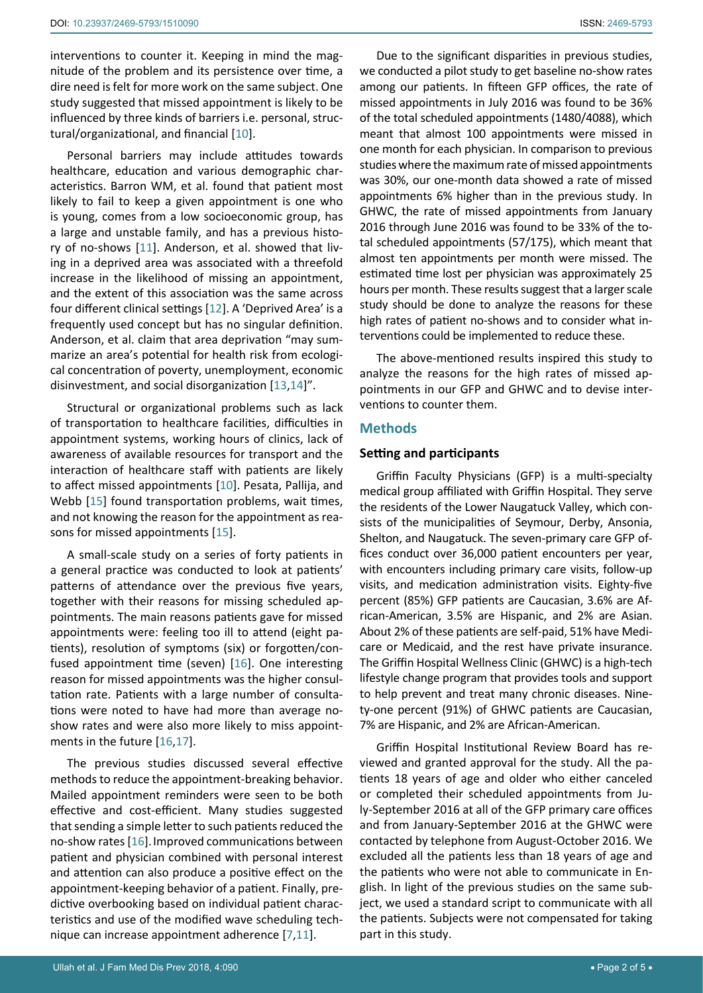interventions to counter it. Keeping in mind the magnitude of the problem and its persistence over time, a dire need is felt for more work on the same subject. One study suggested that missed appointment is likely to be influenced by three kinds of barriers i.e. personal, structural/organizational, and financial [[10\]](#page-4-6).

Personal barriers may include attitudes towards healthcare, education and various demographic characteristics. Barron WM, et al. found that patient most likely to fail to keep a given appointment is one who is young, comes from a low socioeconomic group, has a large and unstable family, and has a previous history of no-shows [[11](#page-4-7)]. Anderson, et al. showed that living in a deprived area was associated with a threefold increase in the likelihood of missing an appointment, and the extent of this association was the same across four different clinical settings [[12](#page-4-8)]. A 'Deprived Area' is a frequently used concept but has no singular definition. Anderson, et al. claim that area deprivation "may summarize an area's potential for health risk from ecological concentration of poverty, unemployment, economic disinvestment, and social disorganization [[13](#page-4-9),[14](#page-4-10)]".

Structural or organizational problems such as lack of transportation to healthcare facilities, difficulties in appointment systems, working hours of clinics, lack of awareness of available resources for transport and the interaction of healthcare staff with patients are likely to affect missed appointments [[10](#page-4-6)]. Pesata, Pallija, and Webb [\[15](#page-4-11)] found transportation problems, wait times, and not knowing the reason for the appointment as reasons for missed appointments [[15](#page-4-11)].

A small-scale study on a series of forty patients in a general practice was conducted to look at patients' patterns of attendance over the previous five years, together with their reasons for missing scheduled appointments. The main reasons patients gave for missed appointments were: feeling too ill to attend (eight patients), resolution of symptoms (six) or forgotten/confused appointment time (seven) [\[16\]](#page-4-12). One interesting reason for missed appointments was the higher consultation rate. Patients with a large number of consultations were noted to have had more than average noshow rates and were also more likely to miss appointments in the future [\[16](#page-4-12),[17](#page-4-13)].

The previous studies discussed several effective methods to reduce the appointment-breaking behavior. Mailed appointment reminders were seen to be both effective and cost-efficient. Many studies suggested that sending a simple letter to such patients reduced the no-show rates [\[16](#page-4-12)].Improved communications between patient and physician combined with personal interest and attention can also produce a positive effect on the appointment-keeping behavior of a patient. Finally, predictive overbooking based on individual patient characteristics and use of the modified wave scheduling technique can increase appointment adherence [[7](#page-4-3),[11\]](#page-4-7).

Due to the significant disparities in previous studies, we conducted a pilot study to get baseline no-show rates among our patients. In fifteen GFP offices, the rate of missed appointments in July 2016 was found to be 36% of the total scheduled appointments (1480/4088), which meant that almost 100 appointments were missed in one month for each physician. In comparison to previous studies where the maximum rate of missed appointments was 30%, our one-month data showed a rate of missed appointments 6% higher than in the previous study. In GHWC, the rate of missed appointments from January 2016 through June 2016 was found to be 33% of the total scheduled appointments (57/175), which meant that almost ten appointments per month were missed. The estimated time lost per physician was approximately 25 hours per month. These results suggest that a larger scale study should be done to analyze the reasons for these high rates of patient no-shows and to consider what interventions could be implemented to reduce these.

The above-mentioned results inspired this study to analyze the reasons for the high rates of missed appointments in our GFP and GHWC and to devise interventions to counter them.

## **Methods**

#### **Setting and participants**

Griffin Faculty Physicians (GFP) is a multi-specialty medical group affiliated with Griffin Hospital. They serve the residents of the Lower Naugatuck Valley, which consists of the municipalities of Seymour, Derby, Ansonia, Shelton, and Naugatuck. The seven-primary care GFP offices conduct over 36,000 patient encounters per year, with encounters including primary care visits, follow-up visits, and medication administration visits. Eighty-five percent (85%) GFP patients are Caucasian, 3.6% are African-American, 3.5% are Hispanic, and 2% are Asian. About 2% of these patients are self-paid, 51% have Medicare or Medicaid, and the rest have private insurance. The Griffin Hospital Wellness Clinic (GHWC) is a high-tech lifestyle change program that provides tools and support to help prevent and treat many chronic diseases. Ninety-one percent (91%) of GHWC patients are Caucasian, 7% are Hispanic, and 2% are African-American.

Griffin Hospital Institutional Review Board has reviewed and granted approval for the study. All the patients 18 years of age and older who either canceled or completed their scheduled appointments from July-September 2016 at all of the GFP primary care offices and from January-September 2016 at the GHWC were contacted by telephone from August-October 2016. We excluded all the patients less than 18 years of age and the patients who were not able to communicate in English. In light of the previous studies on the same subject, we used a standard script to communicate with all the patients. Subjects were not compensated for taking part in this study.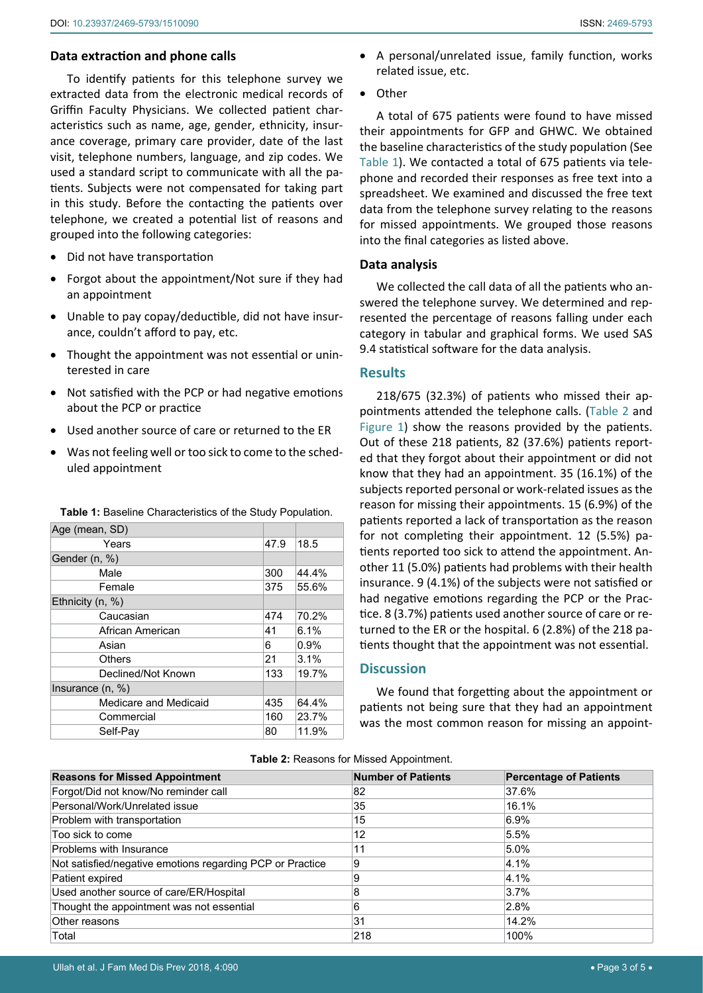## **Data extraction and phone calls**

To identify patients for this telephone survey we extracted data from the electronic medical records of Griffin Faculty Physicians. We collected patient characteristics such as name, age, gender, ethnicity, insurance coverage, primary care provider, date of the last visit, telephone numbers, language, and zip codes. We used a standard script to communicate with all the patients. Subjects were not compensated for taking part in this study. Before the contacting the patients over telephone, we created a potential list of reasons and grouped into the following categories:

- Did not have transportation
- Forgot about the appointment/Not sure if they had an appointment
- Unable to pay copay/deductible, did not have insurance, couldn't afford to pay, etc.
- Thought the appointment was not essential or uninterested in care
- Not satisfied with the PCP or had negative emotions about the PCP or practice
- Used another source of care or returned to the ER
- Was not feeling well or too sick to come to the scheduled appointment

| Age (mean, SD)        |      |       |
|-----------------------|------|-------|
| Years                 | 47.9 | 18.5  |
| Gender (n, %)         |      |       |
| Male                  | 300  | 44.4% |
| Female                | 375  | 55.6% |
| Ethnicity (n, %)      |      |       |
| Caucasian             | 474  | 70.2% |
| African American      | 41   | 6.1%  |
| Asian                 | 6    | 0.9%  |
| <b>Others</b>         | 21   | 3.1%  |
| Declined/Not Known    | 133  | 19.7% |
| Insurance $(n, %)$    |      |       |
| Medicare and Medicaid | 435  | 64.4% |
| Commercial            | 160  | 23.7% |
| Self-Pav              | 80   | 11.9% |

<span id="page-2-0"></span>**Table 1:** Baseline Characteristics of the Study Population.

- A personal/unrelated issue, family function, works related issue, etc.
- Other

A total of 675 patients were found to have missed their appointments for GFP and GHWC. We obtained the baseline characteristics of the study population (See [Table 1\)](#page-2-0). We contacted a total of 675 patients via telephone and recorded their responses as free text into a spreadsheet. We examined and discussed the free text data from the telephone survey relating to the reasons for missed appointments. We grouped those reasons into the final categories as listed above.

# **Data analysis**

We collected the call data of all the patients who answered the telephone survey. We determined and represented the percentage of reasons falling under each category in tabular and graphical forms. We used SAS 9.4 statistical software for the data analysis.

## **Results**

218/675 (32.3%) of patients who missed their appointments attended the telephone calls. [\(Table 2](#page-2-1) and [Figure 1](#page-3-0)) show the reasons provided by the patients. Out of these 218 patients, 82 (37.6%) patients reported that they forgot about their appointment or did not know that they had an appointment. 35 (16.1%) of the subjects reported personal or work-related issues as the reason for missing their appointments. 15 (6.9%) of the patients reported a lack of transportation as the reason for not completing their appointment. 12 (5.5%) patients reported too sick to attend the appointment. Another 11 (5.0%) patients had problems with their health insurance. 9 (4.1%) of the subjects were not satisfied or had negative emotions regarding the PCP or the Practice. 8 (3.7%) patients used another source of care or returned to the ER or the hospital. 6 (2.8%) of the 218 patients thought that the appointment was not essential.

# **Discussion**

We found that forgetting about the appointment or patients not being sure that they had an appointment was the most common reason for missing an appoint-

| <b>Reasons for Missed Appointment</b>                     | <b>Number of Patients</b> | <b>Percentage of Patients</b> |
|-----------------------------------------------------------|---------------------------|-------------------------------|
| Forgot/Did not know/No reminder call                      | 82                        | 37.6%                         |
| Personal/Work/Unrelated issue                             | 35                        | 16.1%                         |
| Problem with transportation                               | 15                        | $6.9\%$                       |
| Too sick to come                                          | 12                        | 5.5%                          |
| Problems with Insurance                                   | 11                        | 5.0%                          |
| Not satisfied/negative emotions regarding PCP or Practice | 9                         | 4.1%                          |
| Patient expired                                           | 9                         | 4.1%                          |
| Used another source of care/ER/Hospital                   | 8                         | 3.7%                          |
| Thought the appointment was not essential                 | 6                         | 2.8%                          |
| Other reasons                                             | 31                        | 14.2%                         |
| Total                                                     | 218                       | 100%                          |

<span id="page-2-1"></span>**Table 2:** Reasons for Missed Appointment.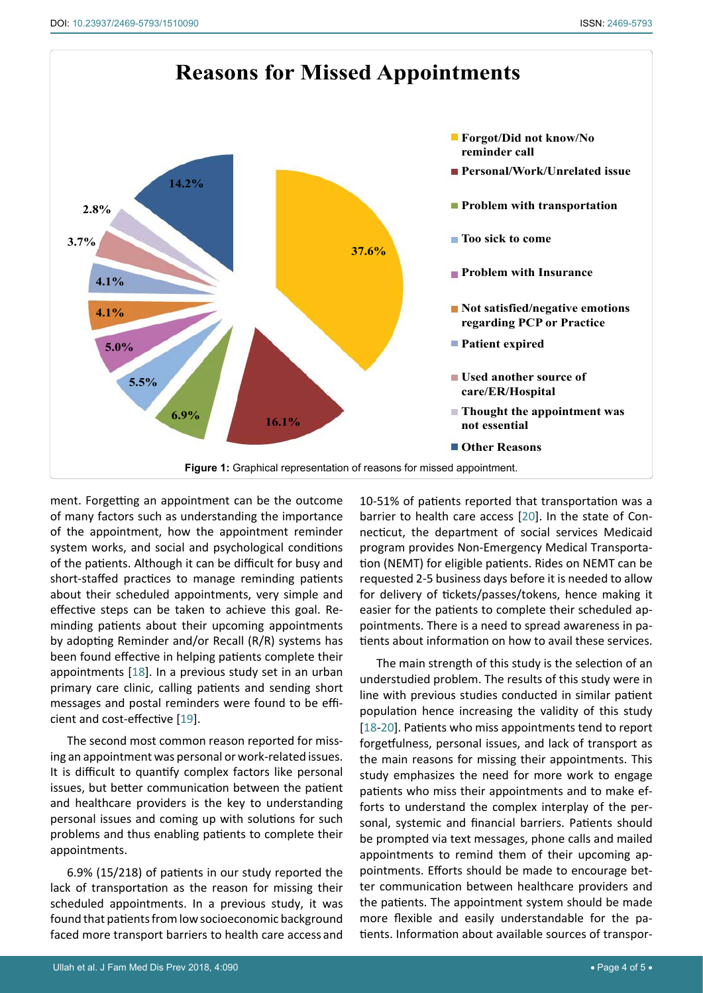<span id="page-3-0"></span>

ment. Forgetting an appointment can be the outcome of many factors such as understanding the importance of the appointment, how the appointment reminder system works, and social and psychological conditions of the patients. Although it can be difficult for busy and short-staffed practices to manage reminding patients about their scheduled appointments, very simple and effective steps can be taken to achieve this goal. Reminding patients about their upcoming appointments by adopting Reminder and/or Recall (R/R) systems has been found effective in helping patients complete their appointments [[18](#page-4-15)]. In a previous study set in an urban primary care clinic, calling patients and sending short messages and postal reminders were found to be efficient and cost-effective [[19](#page-4-16)].

The second most common reason reported for missing an appointment was personal or work-related issues. It is difficult to quantify complex factors like personal issues, but better communication between the patient and healthcare providers is the key to understanding personal issues and coming up with solutions for such problems and thus enabling patients to complete their appointments.

6.9% (15/218) of patients in our study reported the lack of transportation as the reason for missing their scheduled appointments. In a previous study, it was found that patients from low socioeconomic background faced more transport barriers to health care access and

10-51% of patients reported that transportation was a barrier to health care access [[20](#page-4-14)]. In the state of Connecticut, the department of social services Medicaid program provides Non-Emergency Medical Transportation (NEMT) for eligible patients. Rides on NEMT can be requested 2-5 business days before it is needed to allow for delivery of tickets/passes/tokens, hence making it easier for the patients to complete their scheduled appointments. There is a need to spread awareness in patients about information on how to avail these services.

The main strength of this study is the selection of an understudied problem. The results of this study were in line with previous studies conducted in similar patient population hence increasing the validity of this study [[18](#page-4-15)-[20](#page-4-14)]. Patients who miss appointments tend to report forgetfulness, personal issues, and lack of transport as the main reasons for missing their appointments. This study emphasizes the need for more work to engage patients who miss their appointments and to make efforts to understand the complex interplay of the personal, systemic and financial barriers. Patients should be prompted via text messages, phone calls and mailed appointments to remind them of their upcoming appointments. Efforts should be made to encourage better communication between healthcare providers and the patients. The appointment system should be made more flexible and easily understandable for the patients. Information about available sources of transpor